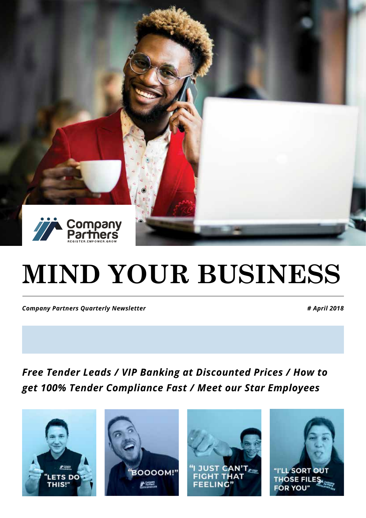

# **MIND YOUR BUSINESS**

*Company Partners Quarterly Newsletter # April 2018*

*Free Tender Leads / VIP Banking at Discounted Prices / How to get 100% Tender Compliance Fast / Meet our Star Employees*

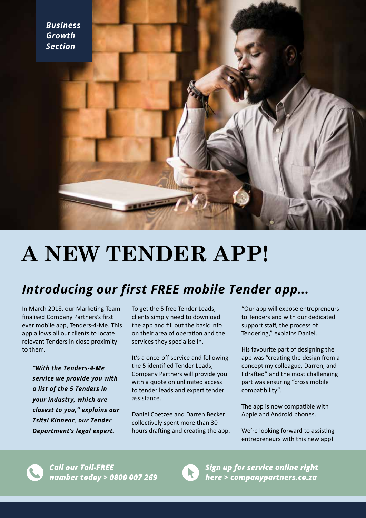

## **A NEW TENDER APP!**

### *Introducing our first FREE mobile Tender app...*

In March 2018, our Marketing Team finalised Company Partners's first ever mobile app, Tenders-4-Me. This app allows all our clients to locate relevant Tenders in close proximity to them.

*"With the Tenders-4-Me service we provide you with a list of the 5 Tenders in your industry, which are closest to you," explains our Tsitsi Kinnear, our Tender Department's legal expert.* 

To get the 5 free Tender Leads, clients simply need to download the app and fill out the basic info on their area of operation and the services they specialise in.

It's a once-off service and following the 5 identified Tender Leads, Company Partners will provide you with a quote on unlimited access to tender leads and expert tender assistance.

Daniel Coetzee and Darren Becker collectively spent more than 30 hours drafting and creating the app.

"Our app will expose entrepreneurs to Tenders and with our dedicated support staff, the process of Tendering," explains Daniel.

His favourite part of designing the app was "creating the design from a concept my colleague, Darren, and I drafted" and the most challenging part was ensuring "cross mobile compatibility".

The app is now compatible with Apple and Android phones.

We're looking forward to assisting entrepreneurs with this new app!





Sign up for service online right here > companypartners.co.za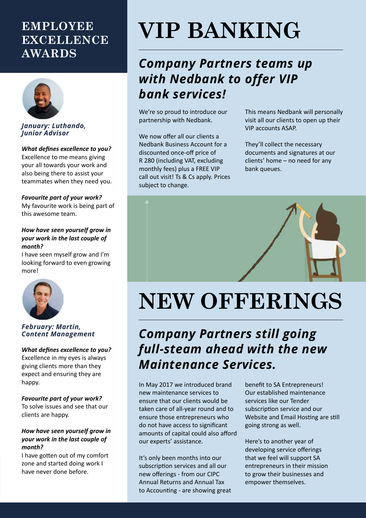### **EMPLOYEE EXCELLENCE AWARDS**



#### *January: Luthando, Junior Advisor*

*What defines excellence to you?* Excellence to me means giving your all towards your work and also being there to assist your teammates when they need you.

#### *Favourite part of your work?*

My favourite work is being part of this awesome team.

#### *How have seen yourself grow in your work in the last couple of month?*

I have seen myself grow and I'm looking forward to even growing more!



#### *February: Martin, Content Management*

#### *What defines excellence to you?*

Excellence in my eyes is always giving clients more than they expect and ensuring they are happy.

#### *Favourite part of your work?*

To solve issues and see that our clients are happy.

#### *How have seen yourself grow in your work in the last couple of month?*

I have gotten out of my comfort zone and started doing work I have never done before.

## **VIP BANKING**

### *Company Partners teams up with Nedbank to offer VIP bank services!*

We're so proud to introduce our partnership with Nedbank.

We now offer all our clients a Nedbank Business Account for a discounted once-off price of R 280 (including VAT, excluding monthly fees) plus a FREE VIP call out visit! Ts & Cs apply. Prices subject to change.

This means Nedbank will personally visit all our clients to open up their VIP accounts ASAP.

They'll collect the necessary documents and signatures at our clients' home – no need for any bank queues.



## **NEW OFFERINGS**

## *Company Partners still going full-steam ahead with the new Maintenance Services.*

In May 2017 we introduced brand new maintenance services to ensure that our clients would be taken care of all-year round and to ensure those entrepreneurs who do not have access to significant amounts of capital could also afford our experts' assistance.

It's only been months into our subscription services and all our new offerings - from our CIPC Annual Returns and Annual Tax to Accounting - are showing great benefit to SA Entrepreneurs! Our established maintenance services like our Tender subscription service and our Website and Email Hosting are still going strong as well.

Here's to another year of developing service offerings that we feel will support SA entrepreneurs in their mission to grow their businesses and empower themselves.